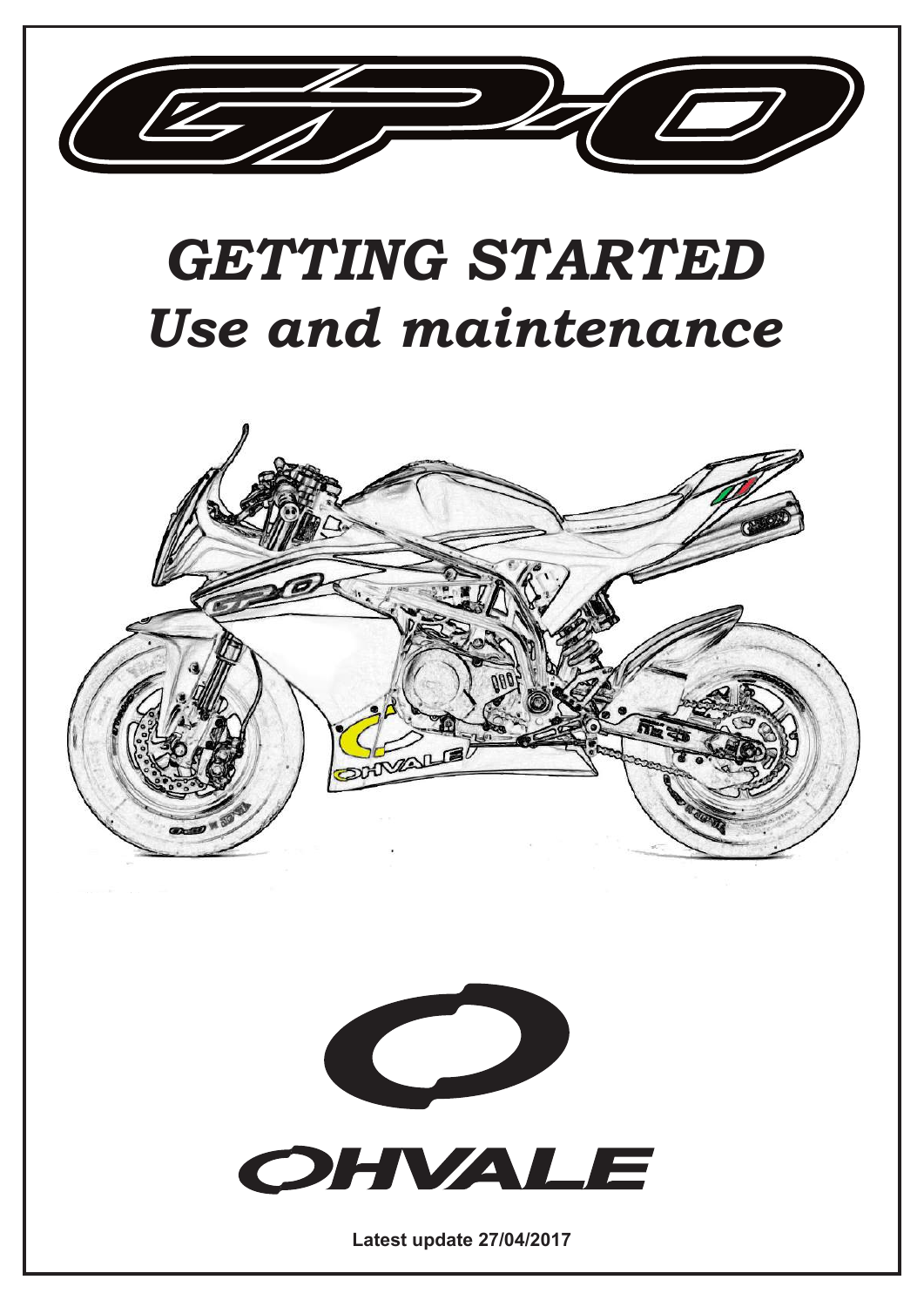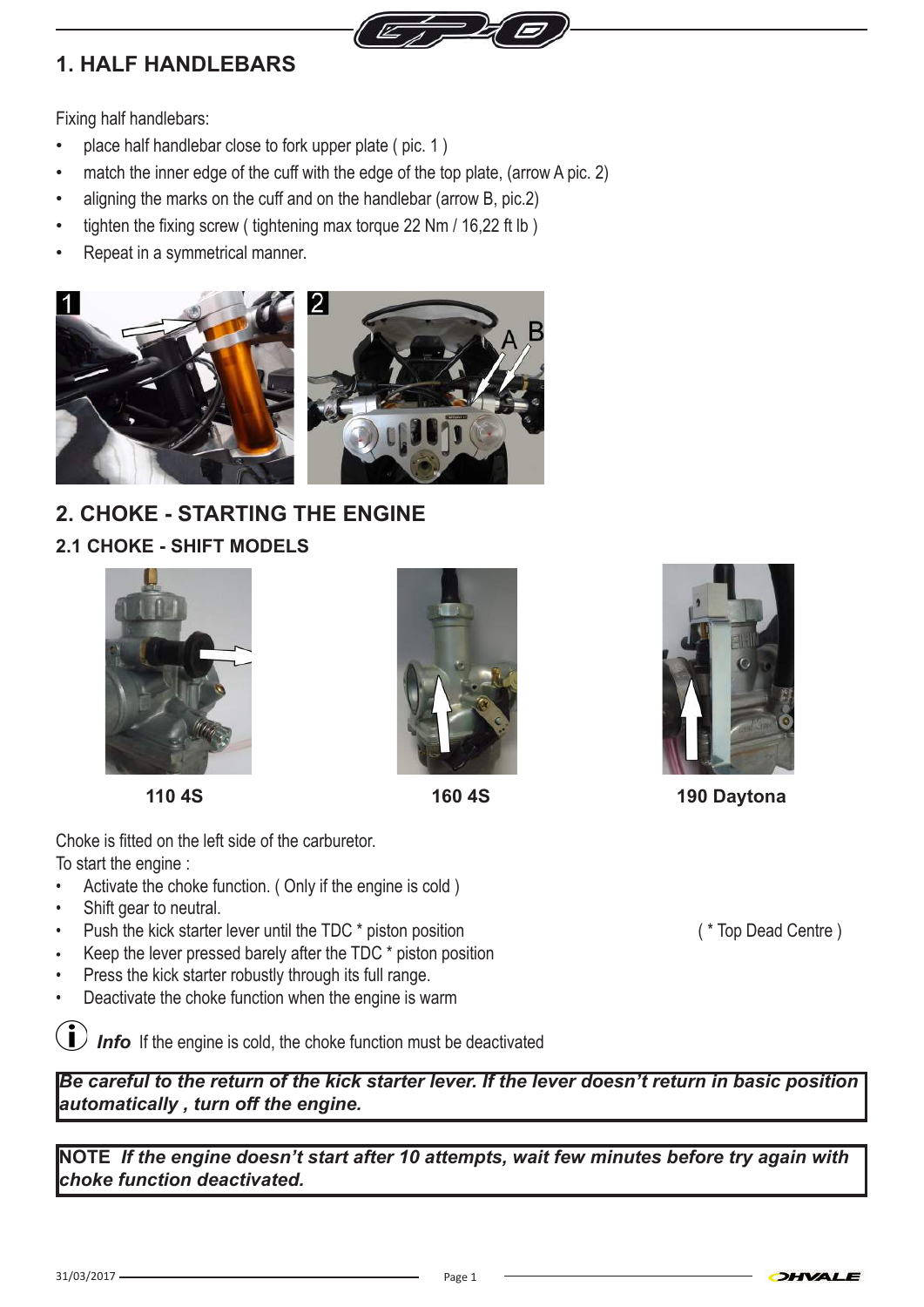

## **1. HALF HANDLEBARS**

Fixing half handlebars:

- place half handlebar close to fork upper plate (pic. 1)
- match the inner edge of the cuff with the edge of the top plate, (arrow A pic. 2)
- aligning the marks on the cuff and on the handlebar (arrow B, pic.2)
- tighten the fixing screw ( tightening max torque 22 Nm  $/$  16,22 ft lb )
- Repeat in a symmetrical manner.



## **2. CHOKE - STARTING THE ENGINE 2.1 CHOKE - SHIFT MODELS**







Choke is fitted on the left side of the carburetor. To start the engine :

- Activate the choke function. ( Only if the engine is cold )
- Shift gear to neutral.
- Push the kick starter lever until the TDC \* piston position ( \* Top Dead Centre )
- Keep the lever pressed barely after the TDC  $*$  piston position
- Press the kick starter robustly through its full range.
- Deactivate the choke function when the engine is warm

*Info* If the engine is cold, the choke function must be deactivated

*Be careful to the return of the kick starter lever. If the lever doesn't return in basic position automatically , turn off the engine.*

**NOTE** *If the engine doesn't start after 10 attempts, wait few minutes before try again with choke function deactivated.*



 **110 4S 160 4S 190 Daytona**

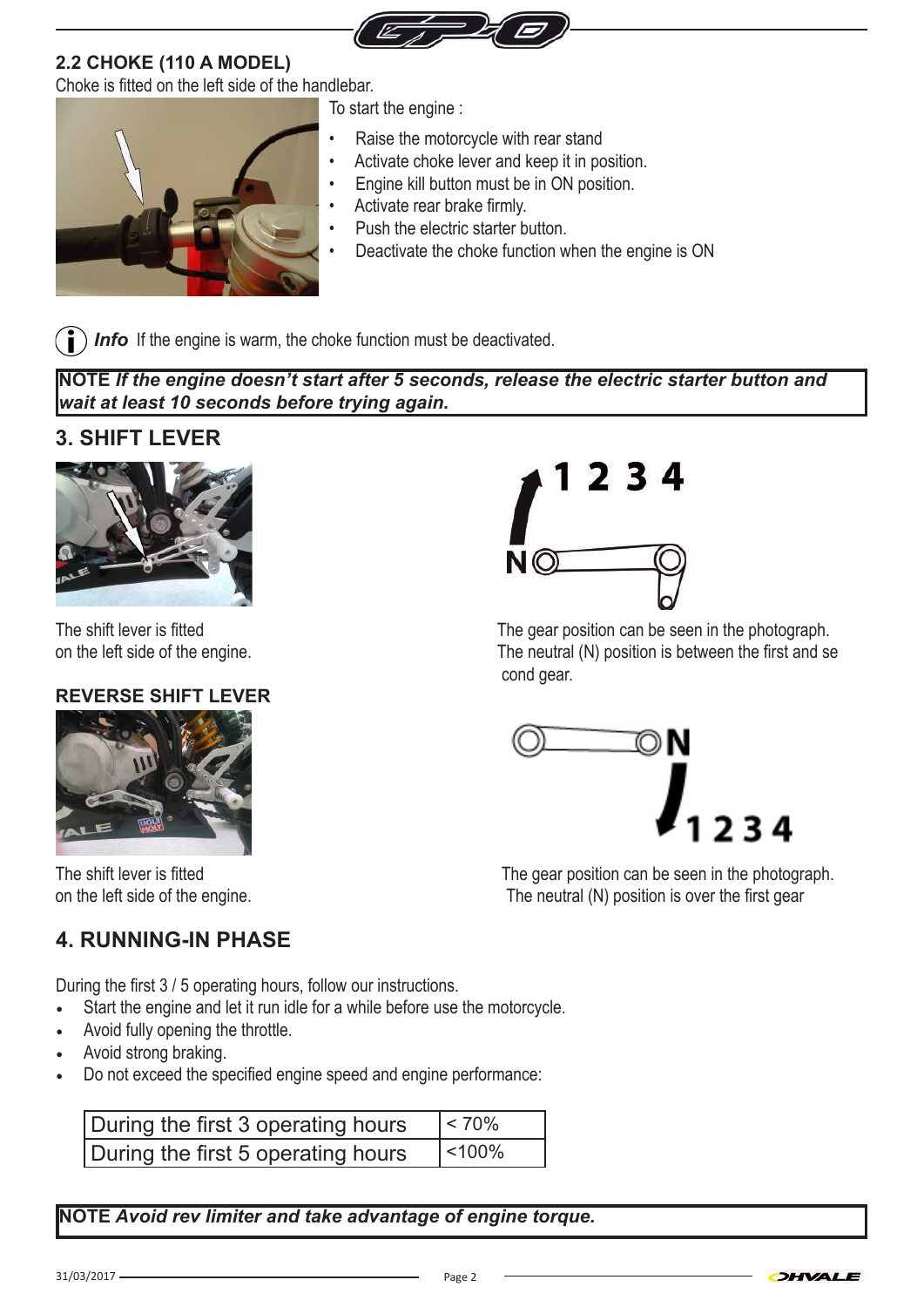

#### **2.2 CHOKE (110 A MODEL)**

Choke is fitted on the left side of the handlebar.



To start the engine :

- Raise the motorcycle with rear stand
- Activate choke lever and keep it in position.
- Engine kill button must be in ON position.
- Activate rear brake firmly.
- Push the electric starter button.
- Deactivate the choke function when the engine is ON

*I Info* If the engine is warm, the choke function must be deactivated.

**NOTE** *If the engine doesn't start after 5 seconds, release the electric starter button and wait at least 10 seconds before trying again.*

### **3. SHIFT LEVER**



#### **REVERSE SHIFT LEVER**



### **4. RUNNING-IN PHASE**

During the first 3 / 5 operating hours, follow our instructions.

- Start the engine and let it run idle for a while before use the motorcycle.
- Avoid fully opening the throttle.
- Avoid strong braking.
- Do not exceed the specified engine speed and engine performance:

| During the first 3 operating hours | $ $ < 70% |
|------------------------------------|-----------|
| During the first 5 operating hours | $ $ <100% |

**NOTE** *Avoid rev limiter and take advantage of engine torque.*



The shift lever is fitted The gear position can be seen in the photograph. on the left side of the engine. The neutral (N) position is between the first and se cond gear.



The shift lever is fitted The gear position can be seen in the photograph. on the left side of the engine. The neutral (N) position is over the first gear

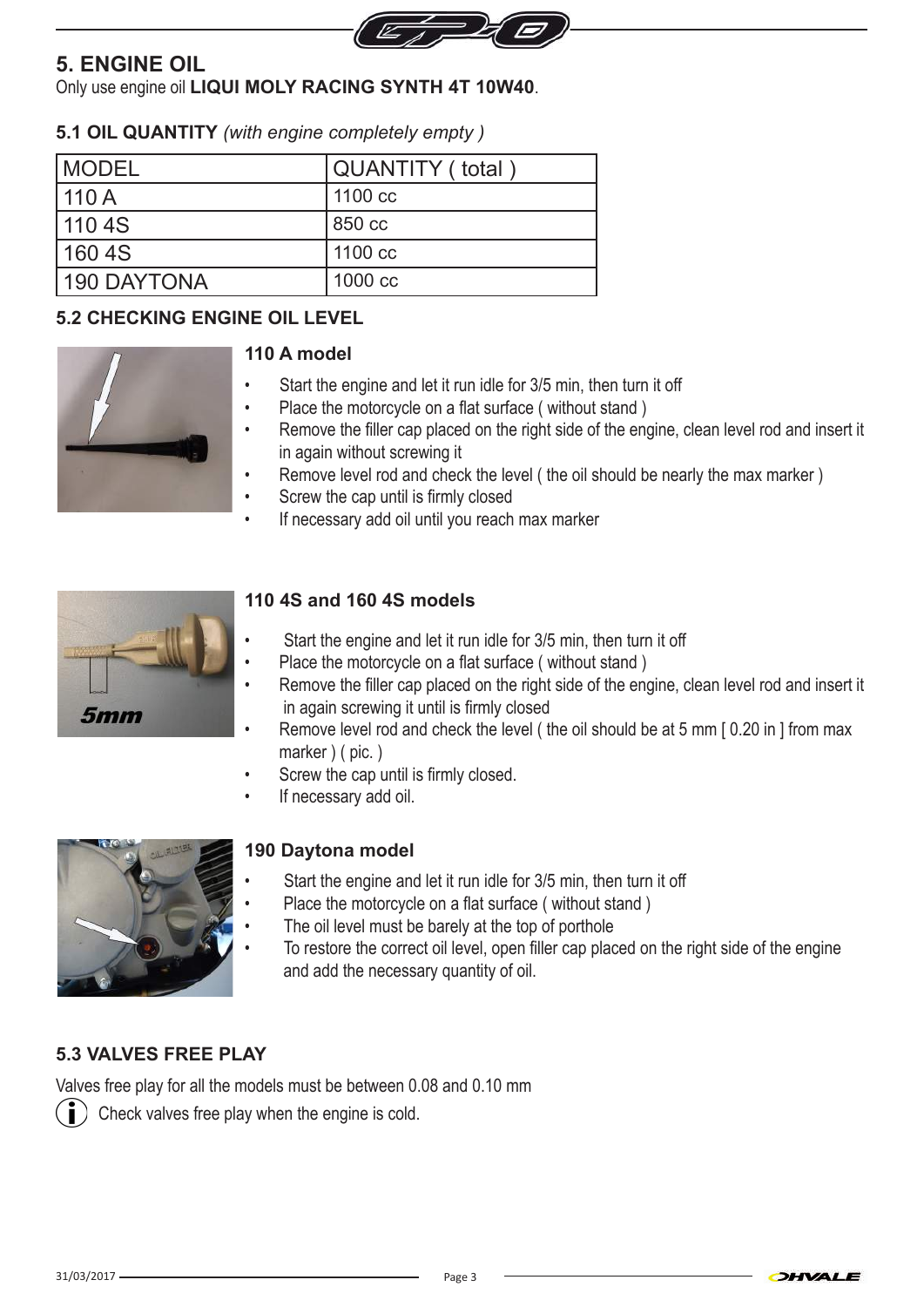

### **5. ENGINE OIL**

Only use engine oil **LIQUI MOLY RACING SYNTH 4T 10W40**.

#### **5.1 OIL QUANTITY** *(with engine completely empty )*

| <b>IMODEL</b> | QUANTITY ( total ) |
|---------------|--------------------|
| 110A          | 1100 cc            |
| 110 4S        | 850 cc             |
| 160 4S        | 1100 cc            |
| 190 DAYTONA   | 1000 cc            |

#### **5.2 CHECKING ENGINE OIL LEVEL**



#### **110 A model**

- Start the engine and let it run idle for 3/5 min, then turn it off
- Place the motorcycle on a flat surface ( without stand )
- Remove the filler cap placed on the right side of the engine, clean level rod and insert it in again without screwing it
- Remove level rod and check the level ( the oil should be nearly the max marker )
- Screw the cap until is firmly closed
- If necessary add oil until you reach max marker



#### **110 4S and 160 4S models**

- Start the engine and let it run idle for 3/5 min, then turn it off
- Place the motorcycle on a flat surface ( without stand )
- Remove the filler cap placed on the right side of the engine, clean level rod and insert it in again screwing it until is firmly closed
- Remove level rod and check the level (the oil should be at 5 mm [0.20 in ] from max marker ) ( pic. )
- Screw the cap until is firmly closed.
- If necessary add oil.



#### **190 Daytona model**

- Start the engine and let it run idle for 3/5 min, then turn it off
- Place the motorcycle on a flat surface ( without stand )
	- The oil level must be barely at the top of porthole
	- To restore the correct oil level, open filler cap placed on the right side of the engine and add the necessary quantity of oil.

#### **5.3 VALVES FREE PLAY**

Valves free play for all the models must be between 0.08 and 0.10 mm

Check valves free play when the engine is cold.

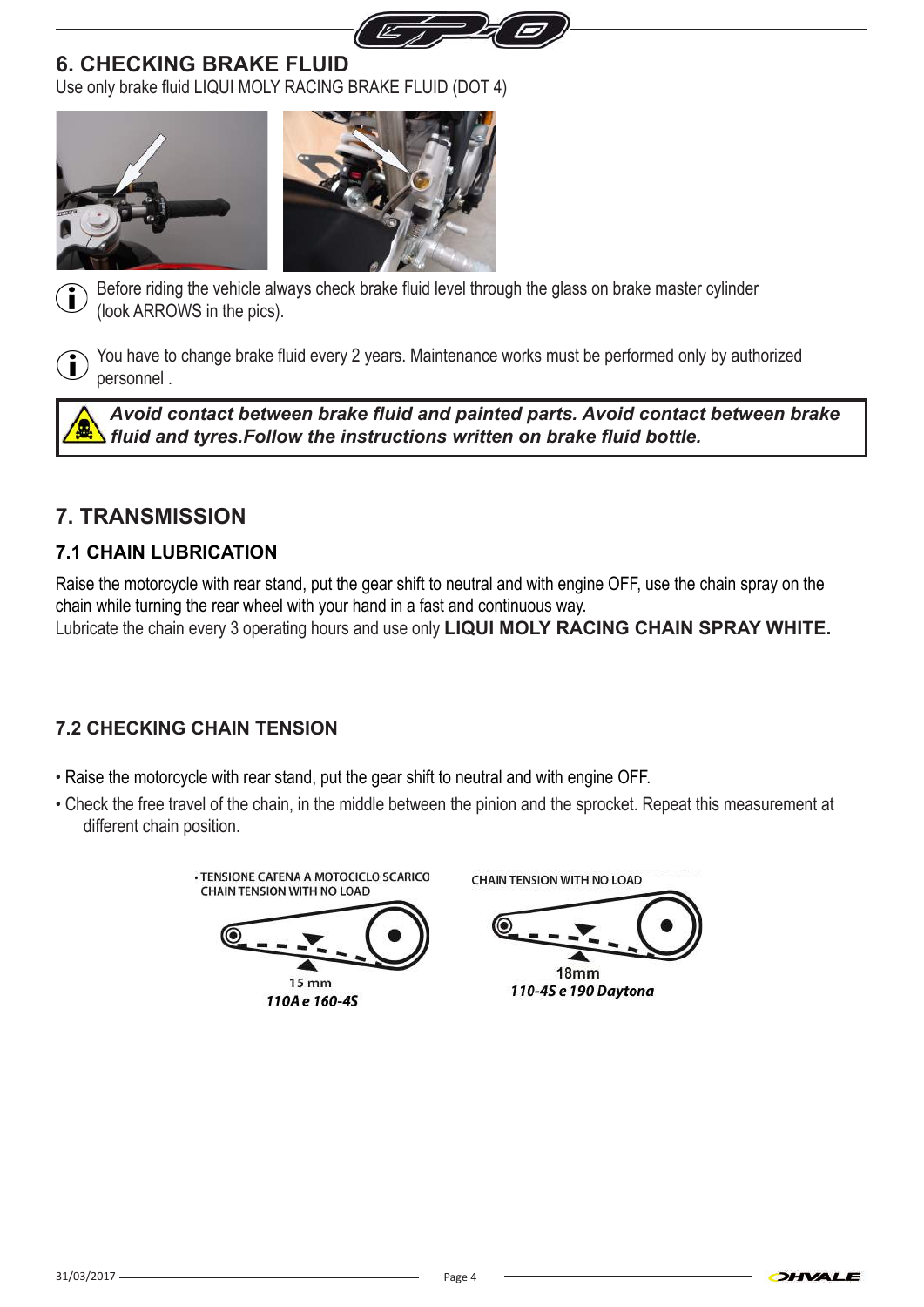

### **6. CHECKING BRAKE FLUID**

Use only brake fluid LIQUI MOLY RACING BRAKE FLUID (DOT 4)







Before riding the vehicle always check brake fluid level through the glass on brake master cylinder (look ARROWS in the pics).



You have to change brake fluid every 2 years. Maintenance works must be performed only by authorized personnel .

*Avoid contact between brake fluid and painted parts. Avoid contact between brake fluid and tyres.Follow the instructions written on brake fluid bottle.* 

## **7. TRANSMISSION**

### **7.1 CHAIN LUBRICATION**

Raise the motorcycle with rear stand, put the gear shift to neutral and with engine OFF, use the chain spray on the chain while turning the rear wheel with your hand in a fast and continuous way. Lubricate the chain every 3 operating hours and use only **LIQUI MOLY RACING CHAIN SPRAY WHITE.**

### **7.2 CHECKING CHAIN TENSION**

- Raise the motorcycle with rear stand, put the gear shift to neutral and with engine OFF.
- Check the free travel of the chain, in the middle between the pinion and the sprocket. Repeat this measurement at different chain position.

· TENSIONE CATENA A MOTOCICLO SCARICO **CHAIN TENSION WITH NO LOAD** 



**CHAIN TENSION WITH NO LOAD** 

18<sub>mm</sub>

110-4S e 190 Daytona

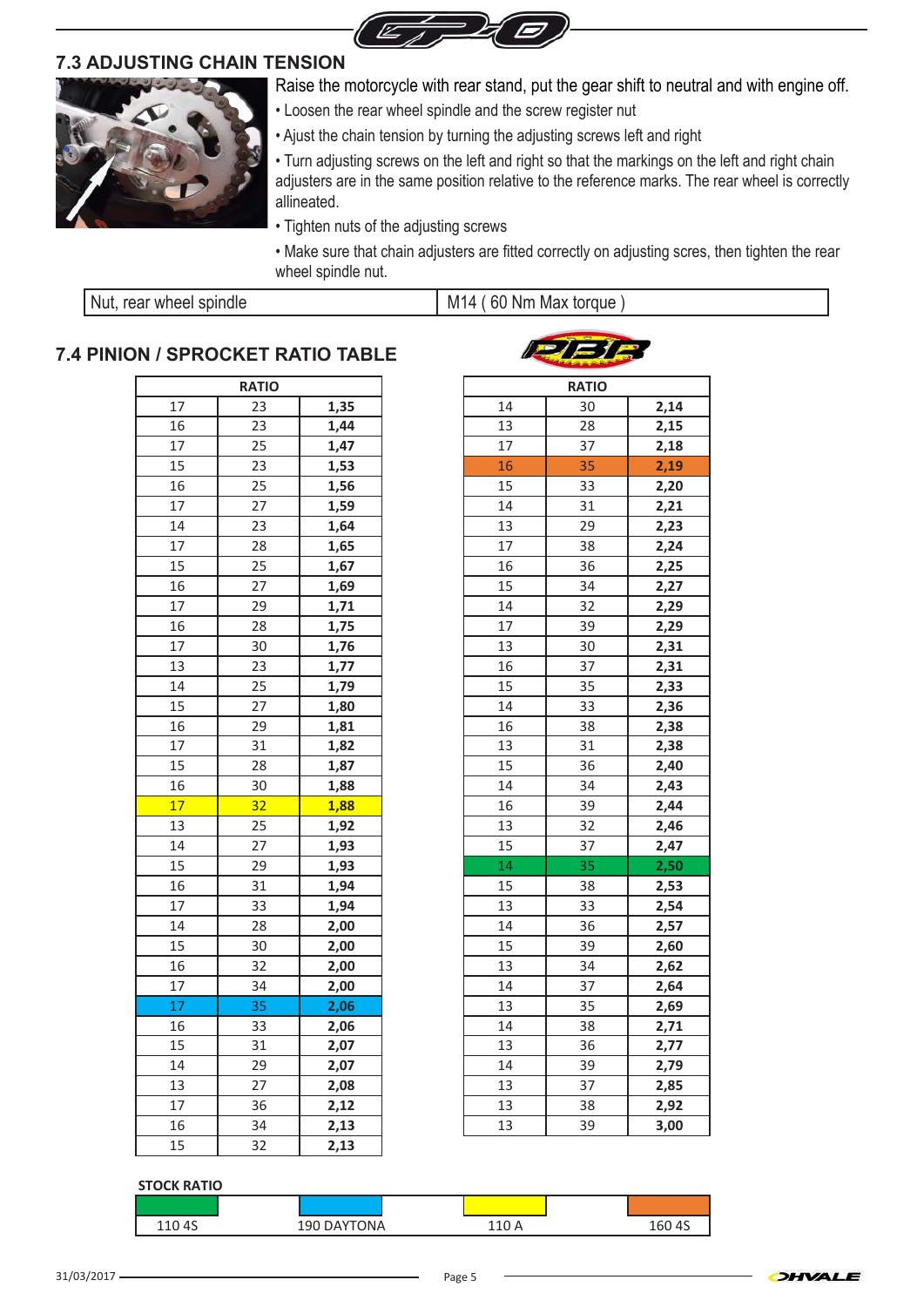

#### **7.3 ADJUSTING CHAIN TENSION**



Raise the motorcycle with rear stand, put the gear shift to neutral and with engine off.

- Loosen the rear wheel spindle and the screw register nut
- Ajust the chain tension by turning the adjusting screws left and right

• Turn adjusting screws on the left and right so that the markings on the left and right chain adjusters are in the same position relative to the reference marks. The rear wheel is correctly allineated.

- Tighten nuts of the adjusting screws
- Make sure that chain adjusters are fitted correctly on adjusting scres, then tighten the rear wheel spindle nut.

 $I = I - I$ 

| Nut, rear wheel spindle | M14 (60 Nm Max torque |
|-------------------------|-----------------------|
|-------------------------|-----------------------|

#### **7.4 PINION / SPROCKET RATIO TABLE**

|    | <b>RATIO</b> |      |    | <b>RATIO</b> |
|----|--------------|------|----|--------------|
| 17 | 23           | 1,35 | 14 | 30           |
| 16 | 23           | 1,44 | 13 | 28           |
| 17 | 25           | 1,47 | 17 | 37           |
| 15 | 23           | 1,53 | 16 | 35           |
| 16 | 25           | 1,56 | 15 | 33           |
| 17 | 27           | 1,59 | 14 | 31           |
| 14 | 23           | 1,64 | 13 | 29           |
| 17 | 28           | 1,65 | 17 | 38           |
| 15 | 25           | 1,67 | 16 | 36           |
| 16 | 27           | 1,69 | 15 | 34           |
| 17 | 29           | 1,71 | 14 | 32           |
| 16 | 28           | 1,75 | 17 | 39           |
| 17 | 30           | 1,76 | 13 | 30           |
| 13 | 23           | 1,77 | 16 | 37           |
| 14 | 25           | 1,79 | 15 | 35           |
| 15 | 27           | 1,80 | 14 | 33           |
| 16 | 29           | 1,81 | 16 | 38           |
| 17 | 31           | 1,82 | 13 | 31           |
| 15 | 28           | 1,87 | 15 | 36           |
| 16 | 30           | 1,88 | 14 | 34           |
| 17 | 32           | 1,88 | 16 | 39           |
| 13 | 25           | 1,92 | 13 | 32           |
| 14 | 27           | 1,93 | 15 | 37           |
| 15 | 29           | 1,93 | 14 | 35           |
| 16 | 31           | 1,94 | 15 | 38           |
| 17 | 33           | 1,94 | 13 | 33           |
| 14 | 28           | 2,00 | 14 | 36           |
| 15 | 30           | 2,00 | 15 | 39           |
| 16 | 32           | 2,00 | 13 | 34           |
| 17 | 34           | 2,00 | 14 | 37           |
| 17 | 35           | 2,06 | 13 | 35           |
| 16 | 33           | 2,06 | 14 | 38           |
| 15 | 31           | 2,07 | 13 | 36           |
| 14 | 29           | 2,07 | 14 | 39           |
| 13 | 27           | 2,08 | 13 | 37           |
| 17 | 36           | 2,12 | 13 | 38           |
| 16 | 34           | 2,13 | 13 | 39           |
| 15 | 32           | 2,13 |    |              |

|    | SPRUUNET KAIIU TABLE |      |    | <b>Company of the Company</b> |      |
|----|----------------------|------|----|-------------------------------|------|
|    | <b>RATIO</b>         |      |    | <b>RATIO</b>                  |      |
| 17 | 23                   | 1,35 | 14 | 30                            | 2,14 |
| 16 | 23                   | 1,44 | 13 | 28                            | 2,15 |
| 17 | 25                   | 1,47 | 17 | 37                            | 2,18 |
| 15 | 23                   | 1,53 | 16 | 35                            | 2,19 |
| 16 | 25                   | 1,56 | 15 | 33                            | 2,20 |
| 17 | 27                   | 1,59 | 14 | 31                            | 2,21 |
| 14 | 23                   | 1,64 | 13 | 29                            | 2,23 |
| 17 | 28                   | 1,65 | 17 | 38                            | 2,24 |
| 15 | 25                   | 1,67 | 16 | 36                            | 2,25 |
| 16 | 27                   | 1,69 | 15 | 34                            | 2,27 |
| 17 | 29                   | 1,71 | 14 | 32                            | 2,29 |
| 16 | 28                   | 1,75 | 17 | 39                            | 2,29 |
| 17 | 30                   | 1,76 | 13 | 30                            | 2,31 |
| 13 | 23                   | 1,77 | 16 | 37                            | 2,31 |
| 14 | 25                   | 1,79 | 15 | 35                            | 2,33 |
| 15 | 27                   | 1,80 | 14 | 33                            | 2,36 |
| 16 | 29                   | 1,81 | 16 | 38                            | 2,38 |
| 17 | 31                   | 1,82 | 13 | 31                            | 2,38 |
| 15 | 28                   | 1,87 | 15 | 36                            | 2,40 |
| 16 | 30                   | 1,88 | 14 | 34                            | 2,43 |
| 17 | 32                   | 1,88 | 16 | 39                            | 2,44 |
| 13 | 25                   | 1,92 | 13 | 32                            | 2,46 |
| 14 | 27                   | 1,93 | 15 | 37                            | 2,47 |
| 15 | 29                   | 1,93 | 14 | 35                            | 2,50 |
| 16 | 31                   | 1,94 | 15 | 38                            | 2,53 |
| 17 | 33                   | 1,94 | 13 | 33                            | 2,54 |
| 14 | 28                   | 2,00 | 14 | 36                            | 2,57 |
| 15 | 30                   | 2,00 | 15 | 39                            | 2,60 |
| 16 | 32                   | 2,00 | 13 | 34                            | 2,62 |
| 17 | 34                   | 2,00 | 14 | 37                            | 2,64 |
| 17 | 35                   | 2,06 | 13 | 35                            | 2,69 |
| 16 | 33                   | 2,06 | 14 | 38                            | 2,71 |
| 15 | 31                   | 2,07 | 13 | 36                            | 2,77 |
| 14 | 29                   | 2,07 | 14 | 39                            | 2,79 |
| 13 | 27                   | 2,08 | 13 | 37                            | 2,85 |
| 17 | 36                   | 2,12 | 13 | 38                            | 2,92 |
| 16 | 34                   | 2,13 | 13 | 39                            | 3,00 |

#### **STOCK RATIO**

| 110 4S | 190 DAYTONA | 10 | 160 4S |
|--------|-------------|----|--------|

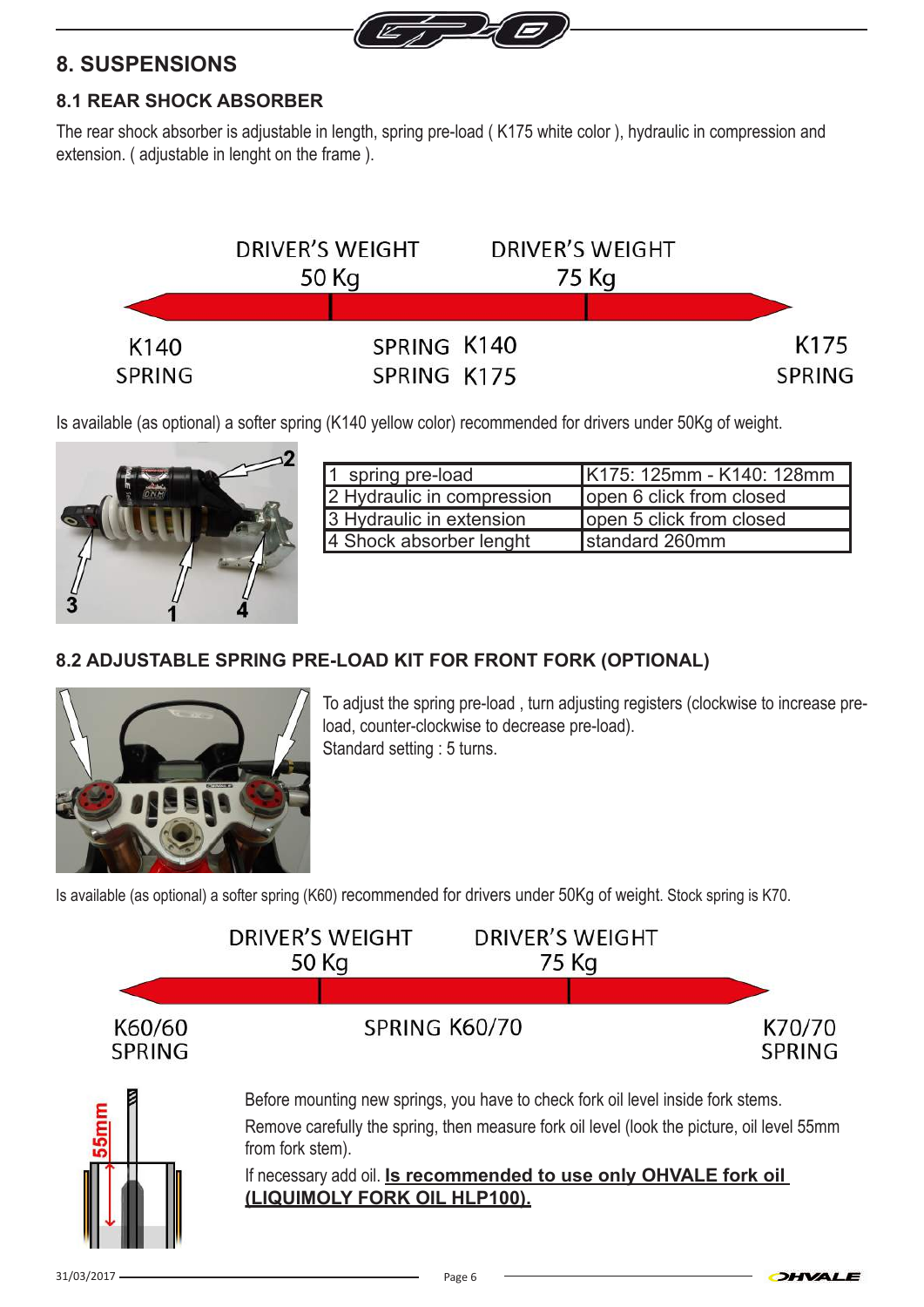

### **8. SUSPENSIONS**

#### **8.1 REAR SHOCK ABSORBER**

The rear shock absorber is adjustable in length, spring pre-load ( K175 white color ), hydraulic in compression and extension. ( adjustable in lenght on the frame ).



Is available (as optional) a softer spring (K140 yellow color) recommended for drivers under 50Kg of weight.



| 1 spring pre-load          | K175: 125mm - K140: 128mm |
|----------------------------|---------------------------|
| 2 Hydraulic in compression | lopen 6 click from closed |
| 3 Hydraulic in extension   | lopen 5 click from closed |
| 4 Shock absorber lenght    | standard 260mm            |

### **8.2 ADJUSTABLE SPRING PRE-LOAD KIT FOR FRONT FORK (OPTIONAL)**



To adjust the spring pre-load , turn adjusting registers (clockwise to increase preload, counter-clockwise to decrease pre-load). Standard setting : 5 turns.

OHVALE

Is available (as optional) a softer spring (K60) recommended for drivers under 50Kg of weight. Stock spring is K70.

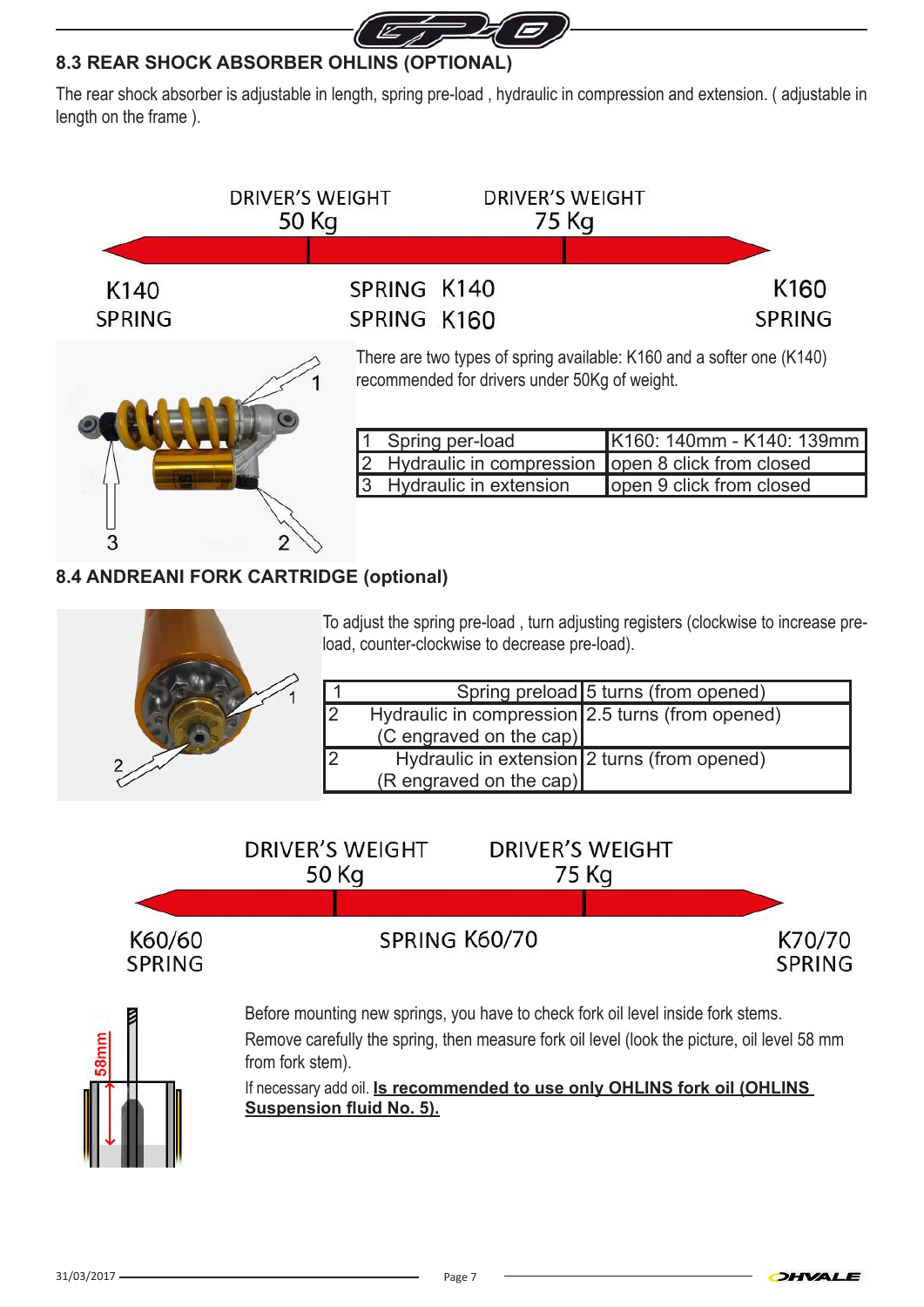

#### **8.3 REAR SHOCK ABSORBER OHLINS (OPTIONAL)**

The rear shock absorber is adjustable in length, spring pre-load , hydraulic in compression and extension. ( adjustable in length on the frame ).



### **8.4 ANDREANI FORK CARTRIDGE (optional)**



3

To adjust the spring pre-load , turn adjusting registers (clockwise to increase preload, counter-clockwise to decrease pre-load).

|           |                                                  | Spring preload 5 turns (from opened) |
|-----------|--------------------------------------------------|--------------------------------------|
| <u> 2</u> | Hydraulic in compression 2.5 turns (from opened) |                                      |
|           | (C engraved on the cap)                          |                                      |
| 2         | Hydraulic in extension 2 turns (from opened)     |                                      |
|           | $(R$ engraved on the cap)                        |                                      |





from fork stem).

If necessary add oil. **Is recommended to use only OHLINS fork oil (OHLINS Suspension fluid No. 5).**

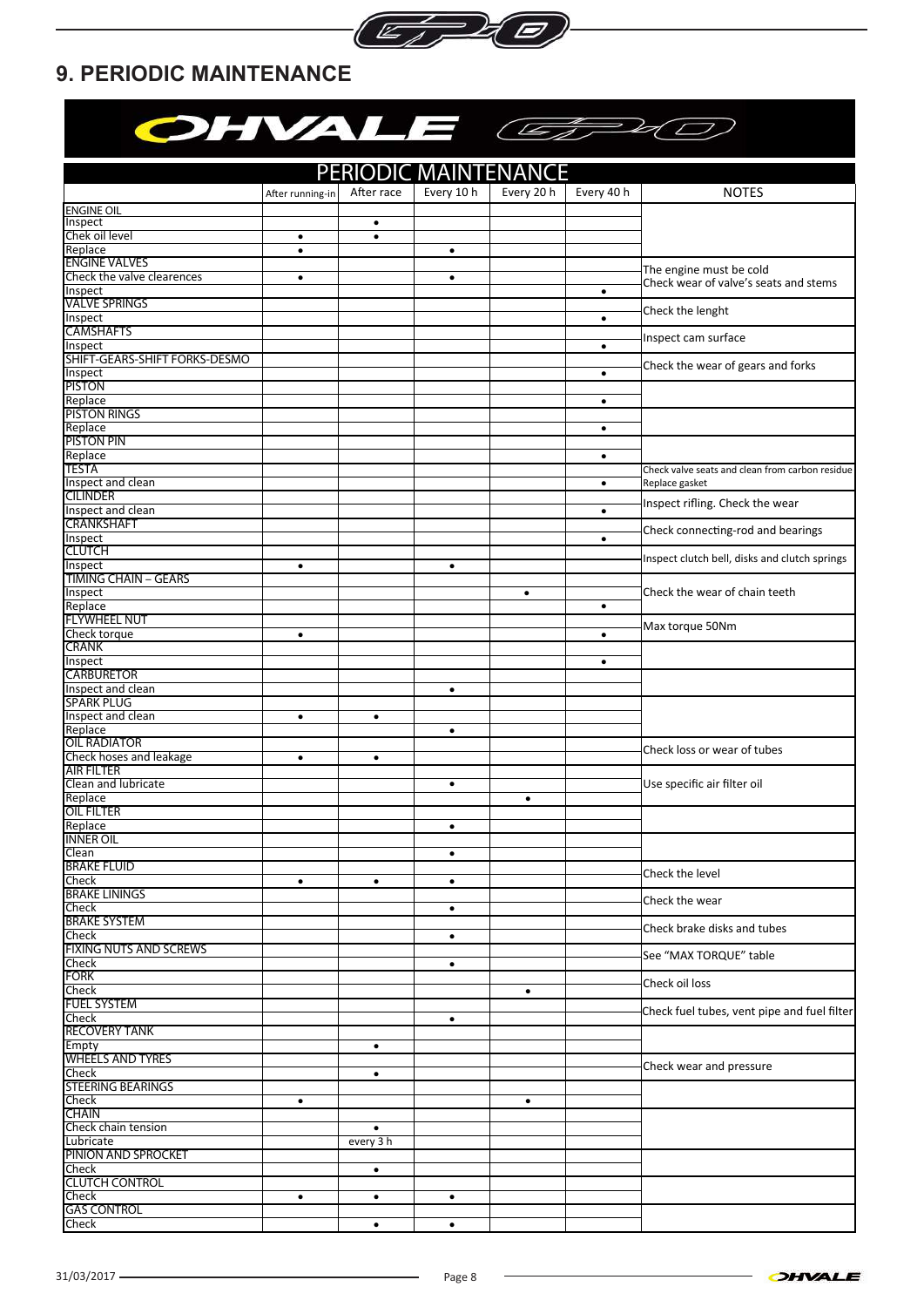

## **9. PERIODIC MAINTENANCE**

| OHVALE CEPAC                             |                  |                        |            |            |            |                                                 |
|------------------------------------------|------------------|------------------------|------------|------------|------------|-------------------------------------------------|
| PERIODIC MAINTENANCE                     |                  |                        |            |            |            |                                                 |
|                                          | After running-in | After race             | Every 10 h | Every 20 h | Every 40 h | <b>NOTES</b>                                    |
| <b>ENGINE OIL</b>                        |                  |                        |            |            |            |                                                 |
| Inspect<br>Chek oil level                | $\bullet$        | $\bullet$<br>$\bullet$ |            |            |            |                                                 |
| Replace                                  | $\bullet$        |                        | $\bullet$  |            |            |                                                 |
| <b>ENGINE VALVES</b>                     |                  |                        |            |            |            | The engine must be cold                         |
| Check the valve clearences               | $\bullet$        |                        | $\bullet$  |            |            | Check wear of valve's seats and stems           |
| Inspect<br><b>VALVE SPRINGS</b>          |                  |                        |            |            | $\bullet$  |                                                 |
| Inspect                                  |                  |                        |            |            | $\bullet$  | Check the lenght                                |
| <b>CAMSHAFTS</b>                         |                  |                        |            |            |            | Inspect cam surface                             |
| Inspect                                  |                  |                        |            |            | $\bullet$  |                                                 |
| SHIFT-GEARS-SHIFT FORKS-DESMO<br>Inspect |                  |                        |            |            | $\bullet$  | Check the wear of gears and forks               |
| PISTON                                   |                  |                        |            |            |            |                                                 |
| Replace                                  |                  |                        |            |            | $\bullet$  |                                                 |
| PISTON RINGS                             |                  |                        |            |            |            |                                                 |
| Replace                                  |                  |                        |            |            | $\bullet$  |                                                 |
| <b>PISTON PIN</b><br>Replace             |                  |                        |            |            | $\bullet$  |                                                 |
| TESTA                                    |                  |                        |            |            |            | Check valve seats and clean from carbon residue |
| Inspect and clean                        |                  |                        |            |            | $\bullet$  | Replace gasket                                  |
| <b>CILINDER</b>                          |                  |                        |            |            |            | Inspect rifling. Check the wear                 |
| Inspect and clean                        |                  |                        |            |            | $\bullet$  |                                                 |
| <b>CRANKSHAFT</b><br>Inspect             |                  |                        |            |            | $\bullet$  | Check connecting-rod and bearings               |
| CLUTCH                                   |                  |                        |            |            |            |                                                 |
| Inspect                                  | $\bullet$        |                        | $\bullet$  |            |            | Inspect clutch bell, disks and clutch springs   |
| <b>TIMING CHAIN - GEARS</b>              |                  |                        |            |            |            |                                                 |
| Inspect                                  |                  |                        |            | $\bullet$  |            | Check the wear of chain teeth                   |
| Replace<br><b>FLYWHEEL NUT</b>           |                  |                        |            |            | $\bullet$  |                                                 |
| Check torque                             | $\bullet$        |                        |            |            | $\bullet$  | Max torque 50Nm                                 |
| <b>CRANK</b>                             |                  |                        |            |            |            |                                                 |
| Inspect                                  |                  |                        |            |            | $\bullet$  |                                                 |
| <b>CARBURETOR</b>                        |                  |                        |            |            |            |                                                 |
| Inspect and clean<br>SPARK PLUG          |                  |                        | $\bullet$  |            |            |                                                 |
| Inspect and clean                        | $\bullet$        | $\bullet$              |            |            |            |                                                 |
| Replace                                  |                  |                        | ٠          |            |            |                                                 |
| <b>OIL RADIATOR</b>                      |                  |                        |            |            |            | Check loss or wear of tubes                     |
| Check hoses and leakage<br>AIR FILTER    | $\bullet$        | $\bullet$              |            |            |            |                                                 |
| Clean and lubricate                      |                  |                        | $\bullet$  |            |            | Use specific air filter oil                     |
| Replace                                  |                  |                        |            |            |            |                                                 |
| oil filter                               |                  |                        |            |            |            |                                                 |
| Replace                                  |                  |                        | $\bullet$  |            |            |                                                 |
| <b>INNER OIL</b><br>Clean                |                  |                        | $\bullet$  |            |            |                                                 |
| <b>BRAKE FLUID</b>                       |                  |                        |            |            |            |                                                 |
| <b>Check</b>                             | $\bullet$        | $\bullet$              | $\bullet$  |            |            | Check the level                                 |
| <b>BRAKE LININGS</b>                     |                  |                        |            |            |            | Check the wear                                  |
| Check<br><b>BRAKE SYSTEM</b>             |                  |                        | $\bullet$  |            |            |                                                 |
| Check                                    |                  |                        | $\bullet$  |            |            | Check brake disks and tubes                     |
| <b>FIXING NUTS AND SCREWS</b>            |                  |                        |            |            |            | See "MAX TORQUE" table                          |
| Check                                    |                  |                        | $\bullet$  |            |            |                                                 |
| <b>FORK</b>                              |                  |                        |            |            |            | Check oil loss                                  |
| <b>Check</b><br><b>FUEL SYSTEM</b>       |                  |                        |            | $\bullet$  |            |                                                 |
| Check                                    |                  |                        | $\bullet$  |            |            | Check fuel tubes, vent pipe and fuel filter     |
| RECOVERY TANK                            |                  |                        |            |            |            |                                                 |
| Empty                                    |                  | $\bullet$              |            |            |            |                                                 |
| <b>WHEELS AND TYRES</b>                  |                  |                        |            |            |            | Check wear and pressure                         |
| Check<br>STEERING BEARINGS               |                  | $\bullet$              |            |            |            |                                                 |
| Check                                    | $\bullet$        |                        |            | $\bullet$  |            |                                                 |
| CHAIN                                    |                  |                        |            |            |            |                                                 |
| Check chain tension                      |                  | $\bullet$              |            |            |            |                                                 |
| Lubricate                                |                  | every 3 h              |            |            |            |                                                 |
| <b>PINION AND SPROCKET</b><br>Check      |                  | $\bullet$              |            |            |            |                                                 |
| <b>CLUTCH CONTROL</b>                    |                  |                        |            |            |            |                                                 |
| Check                                    | $\bullet$        | $\bullet$              | $\bullet$  |            |            |                                                 |
| <b>GAS CONTROL</b>                       |                  |                        |            |            |            |                                                 |
| <b>Check</b>                             |                  | $\bullet$              | $\bullet$  |            |            |                                                 |

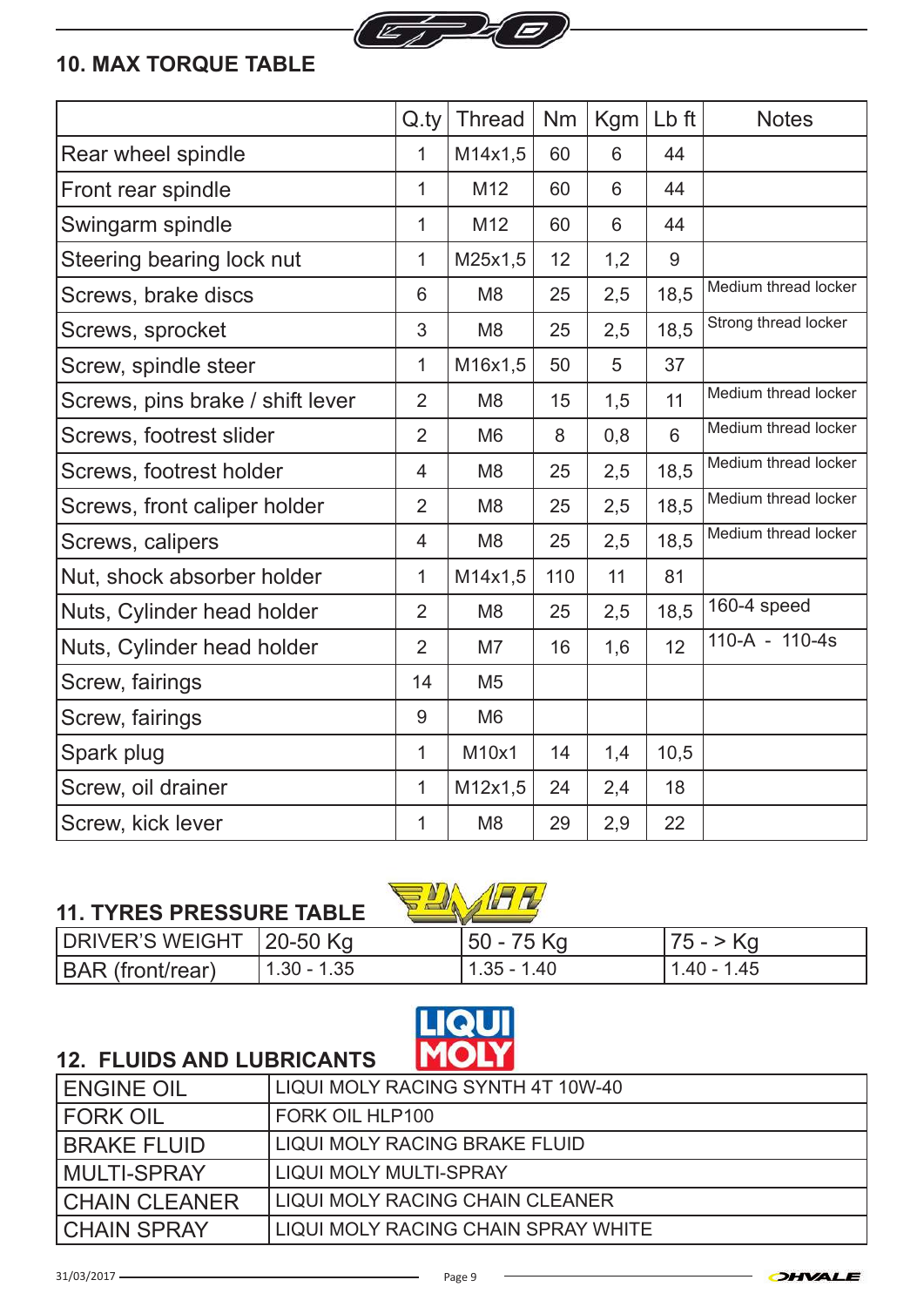

## **10. MAX TORQUE TABLE**

|                                  | Q.tv           | <b>Thread</b>  | <b>Nm</b> | Kgm | Lb ft          | <b>Notes</b>         |
|----------------------------------|----------------|----------------|-----------|-----|----------------|----------------------|
| Rear wheel spindle               | 1              | M14x1,5        | 60        | 6   | 44             |                      |
| Front rear spindle               | 1              | M12            | 60        | 6   | 44             |                      |
| Swingarm spindle                 | 1              | M12            | 60        | 6   | 44             |                      |
| Steering bearing lock nut        | 1              | M25x1,5        | 12        | 1,2 | 9              |                      |
| Screws, brake discs              | 6              | M <sub>8</sub> | 25        | 2,5 | 18,5           | Medium thread locker |
| Screws, sprocket                 | 3              | M <sub>8</sub> | 25        | 2,5 | 18,5           | Strong thread locker |
| Screw, spindle steer             | 1              | M16x1,5        | 50        | 5   | 37             |                      |
| Screws, pins brake / shift lever | $\overline{2}$ | M <sub>8</sub> | 15        | 1,5 | 11             | Medium thread locker |
| Screws, footrest slider          | $\overline{2}$ | M <sub>6</sub> | 8         | 0,8 | $6\phantom{1}$ | Medium thread locker |
| Screws, footrest holder          | 4              | M <sub>8</sub> | 25        | 2,5 | 18,5           | Medium thread locker |
| Screws, front caliper holder     | $\overline{2}$ | M <sub>8</sub> | 25        | 2,5 | 18,5           | Medium thread locker |
| Screws, calipers                 | $\overline{4}$ | M <sub>8</sub> | 25        | 2,5 | 18,5           | Medium thread locker |
| Nut, shock absorber holder       | 1              | M14x1,5        | 110       | 11  | 81             |                      |
| Nuts, Cylinder head holder       | $\overline{2}$ | M <sub>8</sub> | 25        | 2,5 | 18,5           | 160-4 speed          |
| Nuts, Cylinder head holder       | $\overline{2}$ | M7             | 16        | 1,6 | 12             | 110-A - 110-4s       |
| Screw, fairings                  | 14             | M <sub>5</sub> |           |     |                |                      |
| Screw, fairings                  | 9              | M <sub>6</sub> |           |     |                |                      |
| Spark plug                       | 1              | M10x1          | 14        | 1,4 | 10,5           |                      |
| Screw, oil drainer               | 1              | M12x1,5        | 24        | 2,4 | 18             |                      |
| Screw, kick lever                | 1              | M <sub>8</sub> | 29        | 2,9 | 22             |                      |

## **11. TYRES PRESSURE TABLE**





## **12. FLUIDS AND LUBRICANTS**

| <b>ENGINE OIL</b>    | LIQUI MOLY RACING SYNTH 4T 10W-40   |
|----------------------|-------------------------------------|
| <b>FORK OIL</b>      | FORK OIL HLP100                     |
| <b>BRAKE FLUID</b>   | LIQUI MOLY RACING BRAKE FLUID       |
| <b>MULTI-SPRAY</b>   | <b>LIQUI MOLY MULTI-SPRAY</b>       |
| <b>CHAIN CLEANER</b> | LIQUI MOLY RACING CHAIN CLEANER     |
| <b>CHAIN SPRAY</b>   | LIQUI MOLY RACING CHAIN SPRAY WHITE |



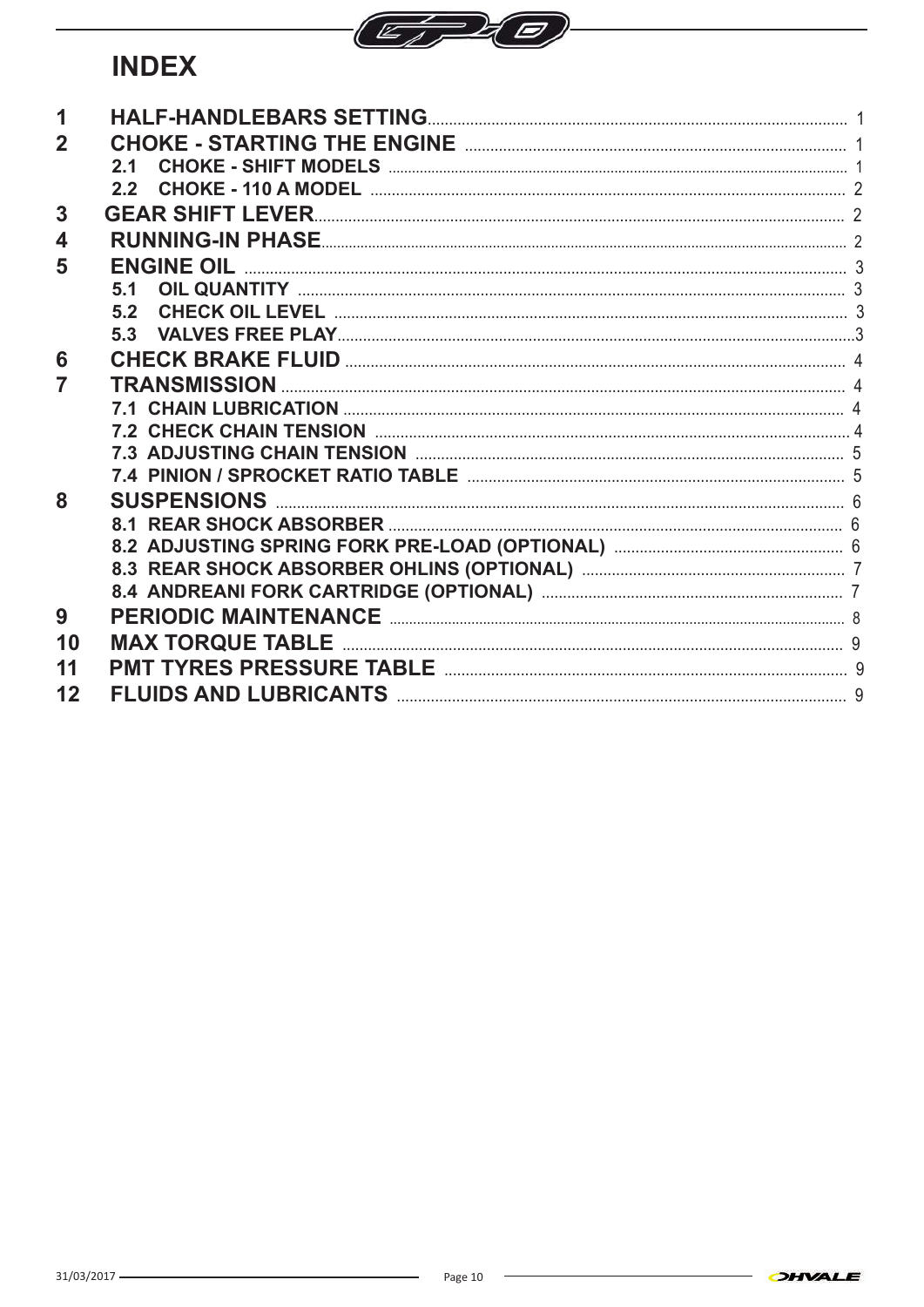

# **INDEX**

| 1              |                              |  |
|----------------|------------------------------|--|
| $\overline{2}$ |                              |  |
|                | 2.1                          |  |
|                | 22                           |  |
| 3              | <b>GEAR SHIFT LEVER</b>      |  |
| 4              |                              |  |
| 5              | <b>ENGINE OIL</b>            |  |
|                | 51                           |  |
|                | 5.2                          |  |
|                | 5.3                          |  |
| 6              |                              |  |
| 7              | TRANSMISSION                 |  |
|                |                              |  |
|                |                              |  |
|                |                              |  |
|                |                              |  |
| 8              |                              |  |
|                |                              |  |
|                |                              |  |
|                |                              |  |
|                |                              |  |
| 9              |                              |  |
| 10             | <b>MAX TORQUE TABLE</b>      |  |
| 11             |                              |  |
| 12             | <b>FLUIDS AND LUBRICANTS</b> |  |
|                |                              |  |

 $\overline{\phantom{0}}$